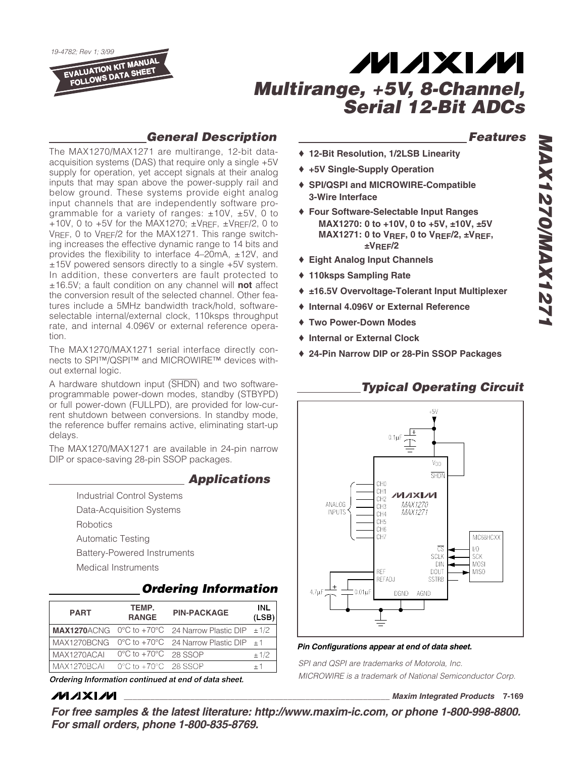*19-4782; Rev 1; 3/99* **EVALUATION KIT MANUAL FOLLOWS DATA SHEET**

## **MAXM** *Multirange, +5V, 8-Channel, Serial 12-Bit ADCs*

### *General Description*

The MAX1270/MAX1271 are multirange, 12-bit dataacquisition systems (DAS) that require only a single +5V supply for operation, yet accept signals at their analog inputs that may span above the power-supply rail and below ground. These systems provide eight analog input channels that are independently software programmable for a variety of ranges:  $\pm 10V$ ,  $\pm 5V$ , 0 to +10V, 0 to +5V for the MAX1270;  $\pm$ VREF,  $\pm$ VREF/2, 0 to VREF, 0 to VREF/2 for the MAX1271. This range switching increases the effective dynamic range to 14 bits and provides the flexibility to interface 4–20mA, ±12V, and ±15V powered sensors directly to a single +5V system. In addition, these converters are fault protected to ±16.5V; a fault condition on any channel will **not** affect the conversion result of the selected channel. Other features include a 5MHz bandwidth track/hold, softwareselectable internal/external clock, 110ksps throughput rate, and internal 4.096V or external reference operation.

The MAX1270/MAX1271 serial interface directly connects to SPI™/QSPI™ and MICROWIRE™ devices without external logic.

A hardware shutdown input (SHDN) and two softwareprogrammable power-down modes, standby (STBYPD) or full power-down (FULLPD), are provided for low-current shutdown between conversions. In standby mode, the reference buffer remains active, eliminating start-up delays.

The MAX1270/MAX1271 are available in 24-pin narrow DIP or space-saving 28-pin SSOP packages.

### *Applications*

Industrial Control Systems Data-Acquisition Systems **Robotics** Automatic Testing Battery-Powered Instruments Medical Instruments

## *Ordering Information*

| <b>PART</b> | TEMP.<br><b>RANGE</b>                     | <b>PIN-PACKAGE</b>                 | INL<br>(LSB) |
|-------------|-------------------------------------------|------------------------------------|--------------|
| MAX1270ACNG |                                           | 0°C to +70°C 24 Narrow Plastic DIP | ±1/2         |
| MAX1270BCNG |                                           | 0°C to +70°C 24 Narrow Plastic DIP | $+1$         |
| MAX1270ACAL | $0^{\circ}$ C to +70 $^{\circ}$ C 28 SSOP |                                    | ±1/2         |
| MAX1270BCAI | $0^{\circ}$ C to $+70^{\circ}$ C 28 SSOP  |                                    | $+1$         |

*Ordering Information continued at end of data sheet.*

### **MAXIM**

### *Features*

- ♦ **12-Bit Resolution, 1/2LSB Linearity**
- ♦ **+5V Single-Supply Operation**
- ♦ **SPI/QSPI and MICROWIRE-Compatible 3-Wire Interface**
- ♦ **Four Software-Selectable Input Ranges MAX1270: 0 to +10V, 0 to +5V, ±10V, ±5V MAX1271: 0 to VREF, 0 to VREF/2, ±VREF, ±VREF/2**
- ♦ **Eight Analog Input Channels**
- ♦ **110ksps Sampling Rate**
- ♦ **±16.5V Overvoltage-Tolerant Input Multiplexer**
- ♦ **Internal 4.096V or External Reference**
- ♦ **Two Power-Down Modes**
- ♦ **Internal or External Clock**
- ♦ **24-Pin Narrow DIP or 28-Pin SSOP Packages**

### *Typical Operating Circuit*



#### *Pin Configurations appear at end of data sheet.*

*SPI and QSPI are trademarks of Motorola, Inc. MICROWIRE is a trademark of National Semiconductor Corp.*

**\_\_\_\_\_\_\_\_\_\_\_\_\_\_\_\_\_\_\_\_\_\_\_\_\_\_\_\_\_\_\_\_\_\_\_\_\_\_\_\_\_\_\_\_\_\_\_\_\_\_\_\_\_\_\_\_\_\_\_\_** *Maxim Integrated Products* **7-169**

*For free samples & the latest literature: http://www.maxim-ic.com, or phone 1-800-998-8800. For small orders, phone 1-800-835-8769.*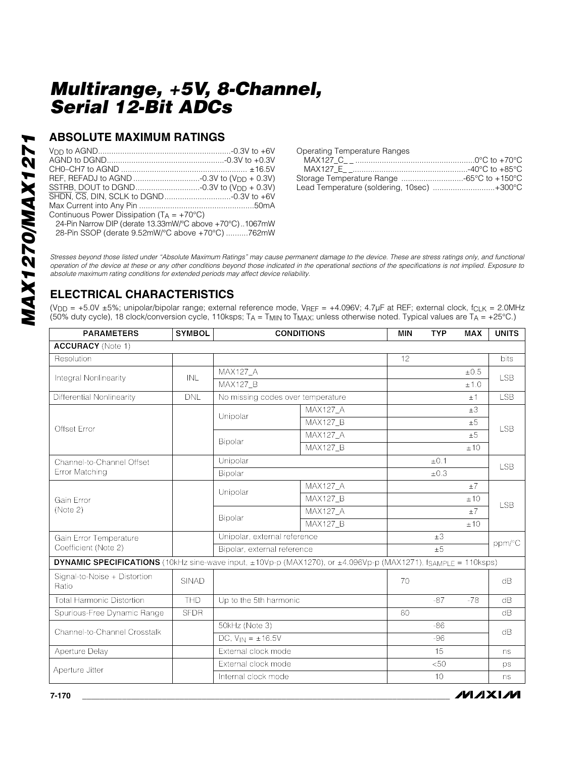### **ABSOLUTE MAXIMUM RATINGS**

| Continuous Power Dissipation ( $T_A = +70^{\circ}C$ ) |  |
|-------------------------------------------------------|--|

24-Pin Narrow DIP (derate 13.33mW/°C above +70°C)..1067mW

28-Pin SSOP (derate 9.52mW/°C above +70°C) ..........762mW

Operating Temperature Ranges

| Lead Temperature (soldering, 10sec) +300°C |  |
|--------------------------------------------|--|

*/VI/IXI/VI* 

*Stresses beyond those listed under "Absolute Maximum Ratings" may cause permanent damage to the device. These are stress ratings only, and functional operation of the device at these or any other conditions beyond those indicated in the operational sections of the specifications is not implied. Exposure to absolute maximum rating conditions for extended periods may affect device reliability.*

## **ELECTRICAL CHARACTERISTICS**

(V<sub>DD</sub> = +5.0V ±5%; unipolar/bipolar range; external reference mode, VREF = +4.096V; 4.7µF at REF; external clock, fcLK = 2.0MHz (50% duty cycle), 18 clock/conversion cycle, 110ksps;  $T_A = T_{MIN}$  to  $T_{MAX}$ ; unless otherwise noted. Typical values are  $T_A = +25^{\circ}$ C.)

| <b>PARAMETERS</b>                                                                                                                          | <b>SYMBOL</b> | <b>CONDITIONS</b>                 | <b>MIN</b>      | <b>TYP</b> | <b>MAX</b> | <b>UNITS</b> |            |  |
|--------------------------------------------------------------------------------------------------------------------------------------------|---------------|-----------------------------------|-----------------|------------|------------|--------------|------------|--|
| <b>ACCURACY</b> (Note 1)                                                                                                                   |               |                                   |                 |            |            |              |            |  |
| Resolution                                                                                                                                 |               |                                   |                 | 12         |            |              | bits       |  |
| Integral Nonlinearity                                                                                                                      | <b>INL</b>    | <b>MAX127 A</b>                   |                 |            |            | $\pm 0.5$    | <b>LSB</b> |  |
|                                                                                                                                            |               | <b>MAX127_B</b>                   |                 |            |            | ±1.0         |            |  |
| Differential Nonlinearity                                                                                                                  | <b>DNL</b>    | No missing codes over temperature |                 |            |            | ±1           | <b>LSB</b> |  |
|                                                                                                                                            |               | Unipolar                          | <b>MAX127 A</b> |            |            | ±3           |            |  |
| Offset Error                                                                                                                               |               |                                   | <b>MAX127_B</b> |            |            | ±5           |            |  |
|                                                                                                                                            |               | Bipolar                           | <b>MAX127 A</b> |            |            | ±5           | <b>LSB</b> |  |
|                                                                                                                                            |               |                                   | <b>MAX127_B</b> |            |            | ±10          |            |  |
| Channel-to-Channel Offset                                                                                                                  |               | Unipolar                          |                 |            | ±0.1       |              |            |  |
| Error Matching                                                                                                                             |               | Bipolar                           |                 |            | ±0.3       |              | <b>LSB</b> |  |
| Gain Error<br>(Note 2)                                                                                                                     |               | Unipolar                          | <b>MAX127 A</b> |            |            | ±7           | <b>LSB</b> |  |
|                                                                                                                                            |               |                                   | <b>MAX127_B</b> |            |            | ±10          |            |  |
|                                                                                                                                            |               | Bipolar                           | <b>MAX127 A</b> |            |            | ±7           |            |  |
|                                                                                                                                            |               |                                   | <b>MAX127 B</b> |            |            | ±10          |            |  |
| Gain Error Temperature                                                                                                                     |               | Unipolar, external reference      |                 |            | $\pm 3$    |              |            |  |
| Coefficient (Note 2)                                                                                                                       |               | Bipolar, external reference       |                 |            | ±5         |              | ppm/°C     |  |
| <b>DYNAMIC SPECIFICATIONS</b> (10kHz sine-wave input, $\pm 10Vp-p$ (MAX1270), or $\pm 4.096Vp-p$ (MAX1271), f <sub>SAMPLE</sub> = 110ksps) |               |                                   |                 |            |            |              |            |  |
| Signal-to-Noise + Distortion<br>Ratio                                                                                                      | <b>SINAD</b>  |                                   |                 | 70         |            |              | dB         |  |
| <b>Total Harmonic Distortion</b>                                                                                                           | <b>THD</b>    | Up to the 5th harmonic            |                 |            | $-87$      | $-78$        | dB         |  |
| Spurious-Free Dynamic Range                                                                                                                | <b>SFDR</b>   |                                   |                 | 80         |            |              | dB         |  |
| Channel-to-Channel Crosstalk                                                                                                               |               | 50kHz (Note 3)                    |                 |            | $-86$      |              |            |  |
|                                                                                                                                            |               | DC, $V_{IN} = \pm 16.5V$          |                 |            | $-96$      |              | dB         |  |
| Aperture Delay                                                                                                                             |               | External clock mode               |                 |            | 15         |              | ns         |  |
| Aperture Jitter                                                                                                                            |               | External clock mode               |                 |            | < 50       |              | ps         |  |
|                                                                                                                                            |               | Internal clock mode               |                 |            | 10         |              | ns         |  |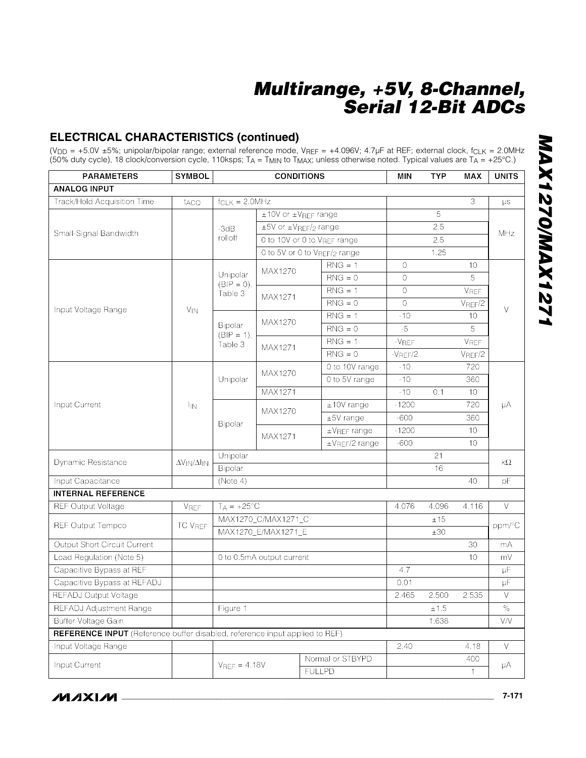### **ELECTRICAL CHARACTERISTICS (continued)**

(V<sub>DD</sub> = +5.0V ±5%; unipolar/bipolar range; external reference mode, V<sub>REF</sub> = +4.096V; 4.7µF at REF; external clock, f<sub>CLK</sub> = 2.0MHz (50% duty cycle), 18 clock/conversion cycle, 110ksps;  $T_A = T_{MIN}$  to  $T_{MAX}$ ; unless otherwise noted. Typical values are  $T_A = +25^{\circ}$ C.)

| <b>PARAMETERS</b>                                                                  | <b>SYMBOL</b>                 | <b>CONDITIONS</b>        |                           |                              | <b>MIN</b>    | <b>TYP</b>   | <b>MAX</b>  | <b>UNITS</b> |
|------------------------------------------------------------------------------------|-------------------------------|--------------------------|---------------------------|------------------------------|---------------|--------------|-------------|--------------|
| <b>ANALOG INPUT</b>                                                                |                               |                          |                           |                              |               |              |             |              |
| Track/Hold Acquisition Time                                                        | t <sub>ACQ</sub>              | $f_{CLK} = 2.0 MHz$      |                           |                              |               |              | 3           | $\mu s$      |
|                                                                                    |                               |                          | ±10V or ±VREF range       |                              |               | 5            |             |              |
|                                                                                    |                               | $-3dB$                   |                           | ±5V or ±VREF/2 range         |               | 2.5          |             |              |
| Small-Signal Bandwidth                                                             |                               | rolloff                  |                           | 0 to 10V or 0 to VREF range  |               | 2.5          |             | MHz          |
|                                                                                    |                               |                          |                           | 0 to 5V or 0 to VREF/2 range |               | 1.25         |             |              |
|                                                                                    |                               |                          | MAX1270                   | $RNG = 1$                    | 0             |              | 10          |              |
|                                                                                    |                               | Unipolar<br>$(BIP = 0),$ |                           | $RNG = 0$                    | 0             |              | 5           |              |
|                                                                                    |                               | Table 3                  | MAX1271                   | $RNG = 1$                    | $\Omega$      |              | VREF        |              |
| Input Voltage Range                                                                | <b>V<sub>IN</sub></b>         |                          |                           | $RNG = 0$                    | $\mathbf{O}$  |              | $V_{REF}/2$ | V            |
|                                                                                    |                               |                          | MAX1270                   | $RNG = 1$                    | $-10$         |              | 10          |              |
|                                                                                    |                               | Bipolar<br>$(BIP = 1)$ , |                           | $RNG = 0$                    | $-5$          |              | 5           |              |
|                                                                                    |                               | Table 3                  | MAX1271                   | $RNG = 1$                    | $-V$ REF      |              | VREF        |              |
|                                                                                    |                               |                          |                           | $RNG = 0$                    | $-V$ REF $/2$ |              | $V_{REF}/2$ |              |
|                                                                                    | $I_{IN}$                      |                          | MAX1270                   | 0 to 10V range               | $-10$         |              | 720         | μA           |
|                                                                                    |                               | Unipolar                 |                           | 0 to 5V range                | $-10$         |              | 360         |              |
|                                                                                    |                               |                          | MAX1271                   |                              | $-10$         | 0.1          | 10          |              |
| Input Current                                                                      |                               | Bipolar                  | MAX1270                   | $±10V$ range                 | $-1200$       |              | 720         |              |
|                                                                                    |                               |                          |                           | $±5V$ range                  | $-600$        |              | 360         |              |
|                                                                                    |                               |                          | MAX1271                   | $\pm$ V <sub>REF</sub> range | $-1200$       |              | 10          |              |
|                                                                                    |                               |                          |                           | ±V <sub>REF</sub> /2 range   | $-600$        |              | 10          |              |
| Dynamic Resistance                                                                 | $\Delta V_{IN}/\Delta I_{IN}$ | Unipolar                 |                           |                              | 21            |              | $k\Omega$   |              |
|                                                                                    |                               | Bipolar                  |                           |                              |               | 16           |             |              |
| Input Capacitance                                                                  |                               | (Note 4)                 |                           |                              |               |              | 40          | pF           |
| <b>INTERNAL REFERENCE</b>                                                          |                               |                          |                           |                              |               |              |             |              |
| <b>REF Output Voltage</b>                                                          | <b>VREF</b>                   | $T_A = +25$ °C           |                           |                              | 4.076         | 4.096        | 4.116       | $\vee$       |
| REF Output Tempco                                                                  | <b>TC VREF</b>                | MAX1270_C/MAX1271_C      |                           |                              |               | ±15          |             | ppm/°C       |
|                                                                                    |                               | MAX1270_E/MAX1271_E      |                           |                              |               | ±30          |             |              |
| <b>Output Short Circuit Current</b>                                                |                               |                          |                           |                              |               |              | 30          | mA           |
| Load Regulation (Note 5)                                                           |                               |                          | 0 to 0.5mA output current |                              |               |              | 10          | mV           |
| Capacitive Bypass at REF                                                           |                               |                          |                           |                              | 4.7           |              |             | $\mu$ F      |
| Capacitive Bypass at REFADJ                                                        |                               |                          |                           |                              | 0.01          |              |             | μF           |
| <b>REFADJ Output Voltage</b>                                                       |                               |                          |                           |                              | 2.465         | 2.500        | 2.535       | $\vee$       |
| REFADJ Adjustment Range                                                            |                               | Figure 1                 |                           |                              |               | ±1.5         |             | $\%$         |
| Buffer Voltage Gain                                                                |                               |                          |                           |                              |               | 1.638        |             | V/V          |
| <b>REFERENCE INPUT</b> (Reference buffer disabled, reference input applied to REF) |                               |                          |                           |                              |               |              |             |              |
| Input Voltage Range                                                                |                               |                          |                           |                              | 2.40          |              | 4.18        | $\vee$       |
| Input Current                                                                      |                               | $V_{REF} = 4.18V$        |                           | Normal or STBYPD             |               |              | 400         | μA           |
|                                                                                    |                               | <b>FULLPD</b>            |                           |                              |               | $\mathbf{1}$ |             |              |

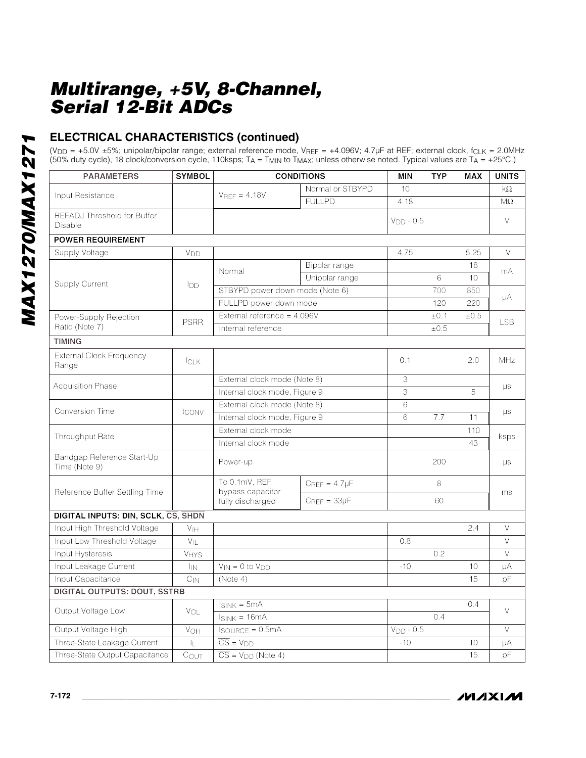### **ELECTRICAL CHARACTERISTICS (continued)**

(V<sub>DD</sub> = +5.0V ±5%; unipolar/bipolar range; external reference mode, V<sub>REF</sub> = +4.096V; 4.7µF at REF; external clock, f<sub>CLK</sub> = 2.0MHz (50% duty cycle), 18 clock/conversion cycle, 110ksps;  $T_A = T_{MIN}$  to  $T_{MAX}$ ; unless otherwise noted. Typical values are  $T_A = +25^{\circ}$ C.)

| <b>PARAMETERS</b>                           | <b>SYMBOL</b>     | <b>CONDITIONS</b>                          |                       | <b>MIN</b>  | <b>TYP</b> | <b>MAX</b> | <b>UNITS</b> |
|---------------------------------------------|-------------------|--------------------------------------------|-----------------------|-------------|------------|------------|--------------|
|                                             |                   |                                            | Normal or STBYPD      | 10          |            |            | $k\Omega$    |
| Input Resistance                            |                   | $V_{REF} = 4.18V$                          | <b>FULLPD</b>         | 4.18        |            |            | $M\Omega$    |
| REFADJ Threshold for Buffer<br>Disable      |                   |                                            |                       | $VDD - 0.5$ |            |            | $\vee$       |
| <b>POWER REQUIREMENT</b>                    |                   |                                            |                       |             |            |            |              |
| Supply Voltage                              | V <sub>DD</sub>   |                                            |                       | 4.75        |            | 5.25       | V            |
|                                             |                   | Normal                                     | Bipolar range         |             |            | 18         | mA           |
| <b>Supply Current</b>                       |                   |                                            | Unipolar range        |             | 6          | 10         |              |
|                                             | IDD               | STBYPD power down mode (Note 6)            |                       |             | 700        | 850        | μA           |
|                                             |                   | FULLPD power down mode                     |                       |             | 120        | 220        |              |
| Power-Supply Rejection                      | <b>PSRR</b>       | External reference = 4.096V                |                       |             | ±0.1       | ±0.5       | <b>LSB</b>   |
| Ratio (Note 7)                              |                   | Internal reference                         |                       |             | ±0.5       |            |              |
| <b>TIMING</b>                               |                   |                                            |                       |             |            |            |              |
| <b>External Clock Frequency</b><br>Range    | fCLK              |                                            |                       | 0.1         |            | 2.0        | <b>MHz</b>   |
|                                             |                   | External clock mode (Note 8)               |                       | 3           |            |            | μs           |
| <b>Acquisition Phase</b>                    |                   | Internal clock mode, Figure 9              |                       | 3           |            | 5          |              |
| <b>Conversion Time</b>                      |                   | External clock mode (Note 8)               |                       | 6           |            |            |              |
|                                             | tconv             | Internal clock mode, Figure 9              |                       | 6           | 7.7        | 11         | $\mu s$      |
|                                             |                   | External clock mode<br>Internal clock mode |                       |             |            | 110        |              |
| Throughput Rate                             |                   |                                            |                       |             |            | 43         | ksps         |
| Bandgap Reference Start-Up<br>Time (Note 9) |                   | Power-up                                   |                       |             | 200        |            | μs           |
| Reference Buffer Settling Time              |                   | To 0.1mV, REF<br>bypass capacitor          | $C_{REF} = 4.7 \mu F$ |             | 8          |            | ms           |
|                                             |                   | fully discharged                           | $C$ RFF = $33\mu$ F   |             | 60         |            |              |
| DIGITAL INPUTS: DIN, SCLK, CS, SHDN         |                   |                                            |                       |             |            |            |              |
| Input High Threshold Voltage                | V <sub>IH</sub>   |                                            |                       |             |            | 2.4        | V            |
| Input Low Threshold Voltage                 | $V_{\parallel L}$ |                                            |                       | 0.8         |            |            | V            |
| Input Hysteresis                            | $V_{HYS}$         |                                            |                       |             | 0.2        |            | $\vee$       |
| Input Leakage Current                       | <sup>I</sup> IN   | $V_{IN} = 0$ to $V_{DD}$                   |                       | $-10$       |            | 10         | μA           |
| Input Capacitance                           | $C_{IN}$          | (Note 4)                                   |                       |             |            | 15         | рF           |
| <b>DIGITAL OUTPUTS: DOUT, SSTRB</b>         |                   |                                            |                       |             |            |            |              |
| Output Voltage Low                          |                   | $I_{SINK} = 5mA$                           |                       |             |            | 0.4        | V            |
|                                             | VOL               | $I_{SINK} = 16mA$                          |                       |             | 0.4        |            |              |
| Output Voltage High                         | VOH               | $IsouRCE = 0.5mA$                          |                       | $VDD - 0.5$ |            |            | $\vee$       |
| Three-State Leakage Current                 | IL.               | $\overline{CS}$ = $V_{DD}$                 |                       | $-10$       |            | 10         | μA           |
| Three-State Output Capacitance              | COUT              | $\overline{CS}$ = $V_{DD}$ (Note 4)        |                       |             |            | 15         | pF           |

**MAXIM**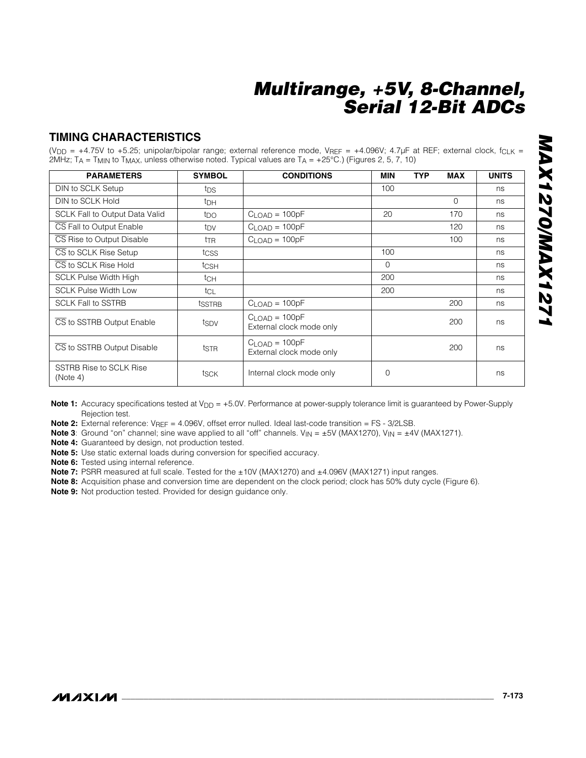### **TIMING CHARACTERISTICS**

(V<sub>DD</sub> = +4.75V to +5.25; unipolar/bipolar range; external reference mode, V<sub>REF</sub> = +4.096V; 4.7µF at REF; external clock, f<sub>CLK</sub> = 2MHz; T<sub>A</sub> = T<sub>MIN</sub> to T<sub>MAX</sub>, unless otherwise noted. Typical values are T<sub>A</sub> = +25°C.) (Figures 2, 5, 7, 10)

| <b>PARAMETERS</b>                          | <b>SYMBOL</b>   | <b>CONDITIONS</b>                           | <b>MIN</b> | <b>TYP</b> | <b>MAX</b> | <b>UNITS</b> |
|--------------------------------------------|-----------------|---------------------------------------------|------------|------------|------------|--------------|
| DIN to SCLK Setup                          | tps             |                                             | 100        |            |            | ns           |
| DIN to SCLK Hold                           | t <sub>DH</sub> |                                             |            |            | $\Omega$   | ns           |
| <b>SCLK Fall to Output Data Valid</b>      | t <sub>DO</sub> | $CLOAD = 100pF$                             | 20         |            | 170        | ns           |
| CS Fall to Output Enable                   | tpv             | $CLOAD = 100pF$                             |            |            | 120        | ns           |
| CS Rise to Output Disable                  | ttr             | $CLOAD = 100pF$                             |            |            | 100        | ns           |
| CS to SCLK Rise Setup                      | tcss            |                                             | 100        |            |            | ns           |
| CS to SCLK Rise Hold                       | tcsh            |                                             | $\Omega$   |            |            | ns           |
| <b>SCLK Pulse Width High</b>               | t <sub>CH</sub> |                                             | 200        |            |            | ns           |
| <b>SCLK Pulse Width Low</b>                | tcL             |                                             | 200        |            |            | ns           |
| <b>SCLK Fall to SSTRB</b>                  | tsstre          | $CLOAD = 100pF$                             |            |            | 200        | ns           |
| CS to SSTRB Output Enable                  | tspv            | $CLOAD = 100pF$<br>External clock mode only |            |            | 200        | ns           |
| CS to SSTRB Output Disable                 | tstr            | $CLOAD = 100pF$<br>External clock mode only |            |            | 200        | ns           |
| <b>SSTRB Rise to SCLK Rise</b><br>(Note 4) | tsck            | Internal clock mode only                    | $\Omega$   |            |            | ns           |

Note 1: Accuracy specifications tested at V<sub>DD</sub> = +5.0V. Performance at power-supply tolerance limit is guaranteed by Power-Supply Rejection test.

**Note 2:** External reference: V<sub>REF</sub> = 4.096V, offset error nulled. Ideal last-code transition = FS - 3/2LSB.

**Note 3**: Ground "on" channel; sine wave applied to all "off" channels.  $V_{IN} = \pm 5V$  (MAX1270),  $V_{IN} = \pm 4V$  (MAX1271).

**Note 4:** Guaranteed by design, not production tested.

**Note 5:** Use static external loads during conversion for specified accuracy.

**Note 6:** Tested using internal reference.

Note 7: PSRR measured at full scale. Tested for the ±10V (MAX1270) and ±4.096V (MAX1271) input ranges.

**Note 8:** Acquisition phase and conversion time are dependent on the clock period; clock has 50% duty cycle (Figure 6).

**Note 9:** Not production tested. Provided for design guidance only.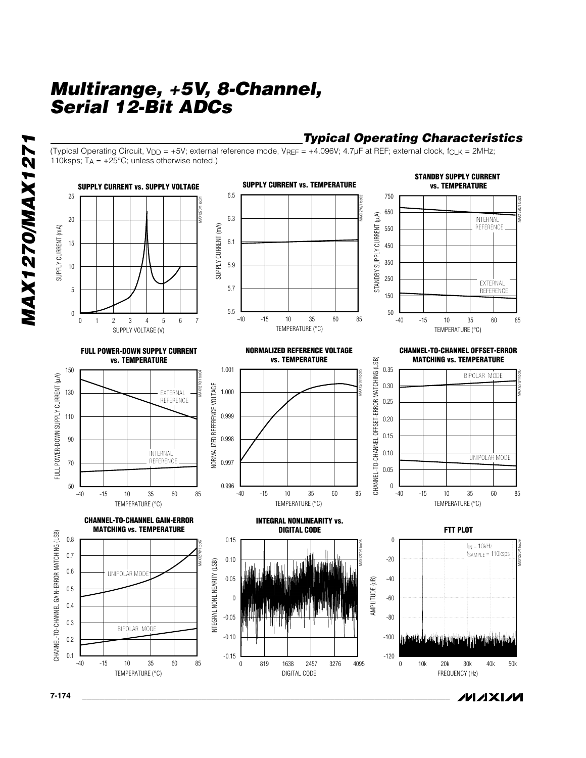### *Typical Operating Characteristics*

/VI /I X I /VI

(Typical Operating Circuit, V<sub>DD</sub> = +5V; external reference mode, V<sub>REF</sub> = +4.096V; 4.7µF at REF; external clock,  $f_{CLK}$  = 2MHz; 110ksps;  $T_A = +25^{\circ}$ C; unless otherwise noted.)



*MAX1270/MAX1271* **MAX1270/MAX127** 

**7-174 \_\_\_\_\_\_\_\_\_\_\_\_\_\_\_\_\_\_\_\_\_\_\_\_\_\_\_\_\_\_\_\_\_\_\_\_\_\_\_\_\_\_\_\_\_\_\_\_\_\_\_\_\_\_\_\_\_\_\_\_\_\_\_\_\_\_\_\_\_\_\_\_\_\_\_\_\_\_\_\_\_\_\_**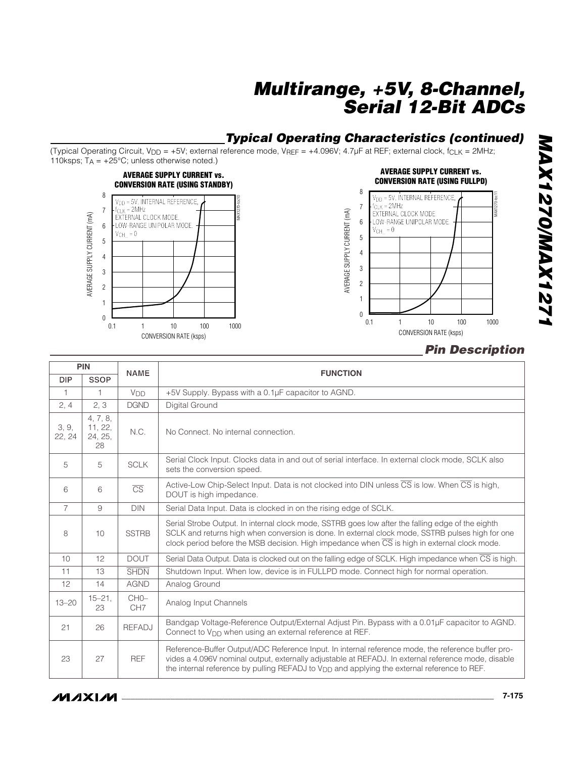## *Typical Operating Characteristics (continued)*

(Typical Operating Circuit, V<sub>DD</sub> = +5V; external reference mode, V<sub>REF</sub> = +4.096V; 4.7µF at REF; external clock,  $f_{CLK}$  = 2MHz; 110ksps;  $T_A = +25^{\circ}C$ ; unless otherwise noted.)





### *Pin Description*

| <b>PIN</b><br><b>NAME</b> |                                      |                           | <b>FUNCTION</b>                                                                                                                                                                                                                                                                                                      |  |  |  |  |
|---------------------------|--------------------------------------|---------------------------|----------------------------------------------------------------------------------------------------------------------------------------------------------------------------------------------------------------------------------------------------------------------------------------------------------------------|--|--|--|--|
| <b>DIP</b>                | <b>SSOP</b>                          |                           |                                                                                                                                                                                                                                                                                                                      |  |  |  |  |
| 1                         | 1.                                   | <b>V<sub>DD</sub></b>     | +5V Supply. Bypass with a 0.1µF capacitor to AGND.                                                                                                                                                                                                                                                                   |  |  |  |  |
| 2, 4                      | 2, 3                                 | <b>DGND</b>               | Digital Ground                                                                                                                                                                                                                                                                                                       |  |  |  |  |
| 3, 9,<br>22, 24           | 4, 7, 8,<br>11, 22,<br>24, 25,<br>28 | N.C.                      | No Connect. No internal connection.                                                                                                                                                                                                                                                                                  |  |  |  |  |
| 5                         | 5                                    | <b>SCLK</b>               | Serial Clock Input. Clocks data in and out of serial interface. In external clock mode, SCLK also<br>sets the conversion speed.                                                                                                                                                                                      |  |  |  |  |
| 6                         | 6                                    | $\overline{\text{CS}}$    | Active-Low Chip-Select Input. Data is not clocked into DIN unless $\overline{CS}$ is low. When $\overline{CS}$ is high,<br>DOUT is high impedance.                                                                                                                                                                   |  |  |  |  |
| $\overline{7}$            | 9                                    | <b>DIN</b>                | Serial Data Input. Data is clocked in on the rising edge of SCLK.                                                                                                                                                                                                                                                    |  |  |  |  |
| 8                         | 10                                   | <b>SSTRB</b>              | Serial Strobe Output. In internal clock mode, SSTRB goes low after the falling edge of the eighth<br>SCLK and returns high when conversion is done. In external clock mode, SSTRB pulses high for one<br>clock period before the MSB decision. High impedance when $\overline{CS}$ is high in external clock mode.   |  |  |  |  |
| 10                        | 12                                   | <b>DOUT</b>               | Serial Data Output. Data is clocked out on the falling edge of SCLK. High impedance when CS is high.                                                                                                                                                                                                                 |  |  |  |  |
| 11                        | 13                                   | <b>SHDN</b>               | Shutdown Input. When low, device is in FULLPD mode. Connect high for normal operation.                                                                                                                                                                                                                               |  |  |  |  |
| 12                        | 14                                   | <b>AGND</b>               | Analog Ground                                                                                                                                                                                                                                                                                                        |  |  |  |  |
| $13 - 20$                 | $15 - 21$ ,<br>23                    | $CHO-$<br>CH <sub>7</sub> | Analog Input Channels                                                                                                                                                                                                                                                                                                |  |  |  |  |
| 21                        | 26                                   | <b>REFADJ</b>             | Bandgap Voltage-Reference Output/External Adjust Pin. Bypass with a 0.01µF capacitor to AGND.<br>Connect to $V_{\text{DD}}$ when using an external reference at REF.                                                                                                                                                 |  |  |  |  |
| 23                        | 27                                   | <b>REF</b>                | Reference-Buffer Output/ADC Reference Input. In internal reference mode, the reference buffer pro-<br>vides a 4.096V nominal output, externally adjustable at REFADJ. In external reference mode, disable<br>the internal reference by pulling REFADJ to V <sub>DD</sub> and applying the external reference to REF. |  |  |  |  |

**MAX1270/MAX1271** *MAX1270/MAX1271*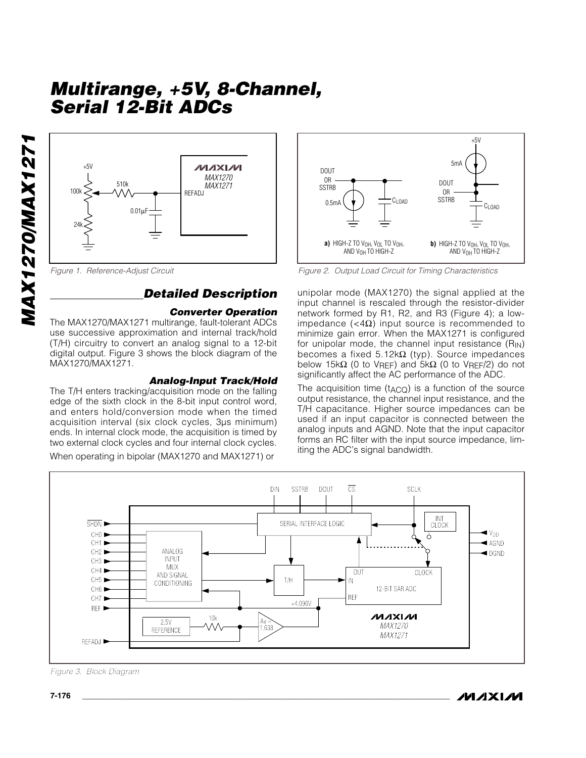

## *Detailed Description*

#### *Converter Operation*

The MAX1270/MAX1271 multirange, fault-tolerant ADCs use successive approximation and internal track/hold (T/H) circuitry to convert an analog signal to a 12-bit digital output. Figure 3 shows the block diagram of the MAX1270/MAX1271.

#### *Analog-Input Track/Hold*

The T/H enters tracking/acquisition mode on the falling edge of the sixth clock in the 8-bit input control word, and enters hold/conversion mode when the timed acquisition interval (six clock cycles, 3µs minimum) ends. In internal clock mode, the acquisition is timed by two external clock cycles and four internal clock cycles.

When operating in bipolar (MAX1270 and MAX1271) or



*Figure 1. Reference-Adjust Circuit Figure 2. Output Load Circuit for Timing Characteristics*

unipolar mode (MAX1270) the signal applied at the input channel is rescaled through the resistor-divider network formed by R1, R2, and R3 (Figure 4); a lowimpedance (<4Ω) input source is recommended to minimize gain error. When the MAX1271 is configured for unipolar mode, the channel input resistance  $(R_{IN})$ becomes a fixed 5.12kΩ (typ). Source impedances below 15kΩ (0 to V<sub>RFF</sub>) and 5kΩ (0 to V<sub>RFF</sub>/2) do not significantly affect the AC performance of the ADC.

The acquisition time  $(t_{ACQ})$  is a function of the source output resistance, the channel input resistance, and the T/H capacitance. Higher source impedances can be used if an input capacitor is connected between the analog inputs and AGND. Note that the input capacitor forms an RC filter with the input source impedance, limiting the ADC's signal bandwidth.



*Figure 3. Block Diagram*

*MAX1270/MAX1271*

**MAX1270/MAX127**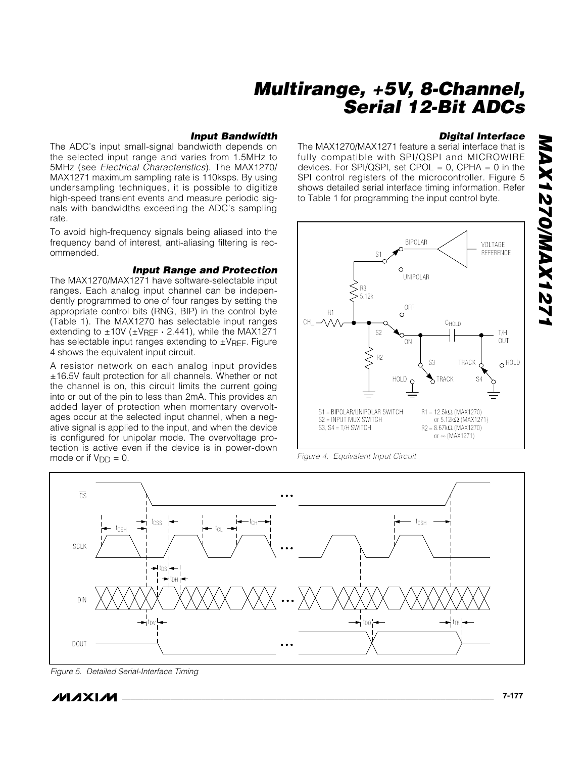#### *Input Bandwidth*

The ADC's input small-signal bandwidth depends on the selected input range and varies from 1.5MHz to 5MHz (see *Electrical Characteristics*). The MAX1270/ MAX1271 maximum sampling rate is 110ksps. By using undersampling techniques, it is possible to digitize high-speed transient events and measure periodic signals with bandwidths exceeding the ADC's sampling rate.

To avoid high-frequency signals being aliased into the frequency band of interest, anti-aliasing filtering is recommended.

#### *Input Range and Protection*

The MAX1270/MAX1271 have software-selectable input ranges. Each analog input channel can be independently programmed to one of four ranges by setting the appropriate control bits (RNG, BIP) in the control byte (Table 1). The MAX1270 has selectable input ranges extending to ±10V (±VREF **·** 2.441), while the MAX1271 has selectable input ranges extending to ±VREF. Figure 4 shows the equivalent input circuit.

A resistor network on each analog input provides ±16.5V fault protection for all channels. Whether or not the channel is on, this circuit limits the current going into or out of the pin to less than 2mA. This provides an added layer of protection when momentary overvoltages occur at the selected input channel, when a negative signal is applied to the input, and when the device is configured for unipolar mode. The overvoltage protection is active even if the device is in power-down mode or if  $V_{DD} = 0$ .

### *Digital Interface*

The MAX1270/MAX1271 feature a serial interface that is fully compatible with SPI/QSPI and MICROWIRE devices. For SPI/QSPI, set CPOL =  $0$ , CPHA =  $0$  in the SPI control registers of the microcontroller. Figure 5 shows detailed serial interface timing information. Refer to Table 1 for programming the input control byte.



*Figure 4. Equivalent Input Circuit*



*Figure 5. Detailed Serial-Interface Timing*

/W AXI/W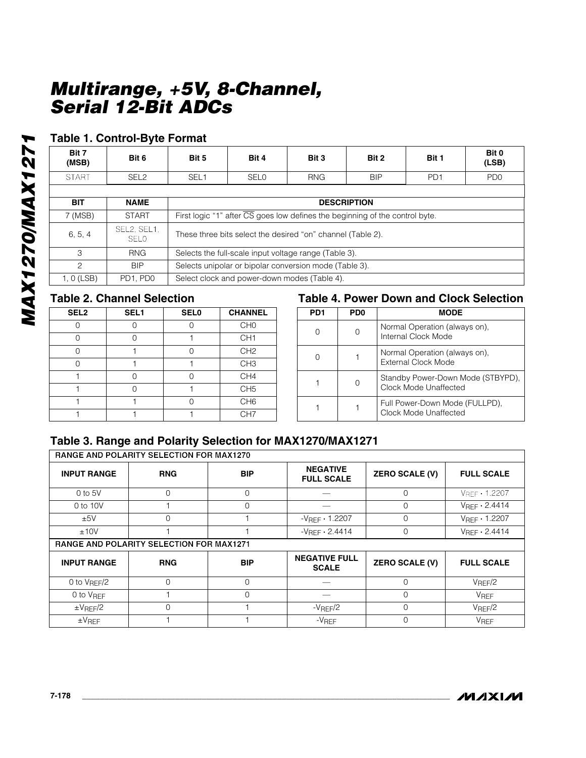### **Table 1. Control-Byte Format**

| Bit 6                      | Bit 5                                                                                     | Bit 4              | Bit 3      | Bit 2                                        | Bit 1           | Bit 0<br>(LSB)              |
|----------------------------|-------------------------------------------------------------------------------------------|--------------------|------------|----------------------------------------------|-----------------|-----------------------------|
| SEL <sub>2</sub>           | SEL <sub>1</sub>                                                                          | <b>SELO</b>        | <b>RNG</b> | <b>BIP</b>                                   | PD <sub>1</sub> | P <sub>D</sub> <sub>0</sub> |
|                            |                                                                                           |                    |            |                                              |                 |                             |
| <b>NAME</b>                |                                                                                           | <b>DESCRIPTION</b> |            |                                              |                 |                             |
| <b>START</b>               | First logic "1" after $\overline{CS}$ goes low defines the beginning of the control byte. |                    |            |                                              |                 |                             |
| SEL2, SEL1,<br><b>SELO</b> | These three bits select the desired "on" channel (Table 2).                               |                    |            |                                              |                 |                             |
| <b>RNG</b>                 | Selects the full-scale input voltage range (Table 3).                                     |                    |            |                                              |                 |                             |
| <b>BIP</b>                 | Selects unipolar or bipolar conversion mode (Table 3).                                    |                    |            |                                              |                 |                             |
| PD1, PD0                   |                                                                                           |                    |            |                                              |                 |                             |
|                            |                                                                                           |                    |            | Select clock and power-down modes (Table 4). |                 |                             |

## **Table 2. Channel Selection**

| SEL <sub>2</sub> | SEL <sub>1</sub> | <b>SEL0</b> | <b>CHANNEL</b>  |
|------------------|------------------|-------------|-----------------|
|                  |                  |             | CH <sub>0</sub> |
|                  |                  |             | CH <sub>1</sub> |
|                  |                  | ∩           | CH <sub>2</sub> |
|                  |                  |             | CH <sub>3</sub> |
|                  |                  |             | CH4             |
|                  |                  |             | CH <sub>5</sub> |
|                  |                  |             | CH <sub>6</sub> |
|                  |                  |             | CH <sub>7</sub> |

### **Table 4. Power Down and Clock Selection**

| PD <sub>1</sub> | PD <sub>0</sub> | <b>MODE</b>                                                |
|-----------------|-----------------|------------------------------------------------------------|
|                 |                 | Normal Operation (always on),<br>Internal Clock Mode       |
|                 |                 | Normal Operation (always on),<br>External Clock Mode       |
|                 |                 | Standby Power-Down Mode (STBYPD),<br>Clock Mode Unaffected |
|                 |                 | Full Power-Down Mode (FULLPD),<br>Clock Mode Unaffected    |

# **Table 3. Range and Polarity Selection for MAX1270/MAX1271**<br>RANGE AND POLARITY SELECTION FOR MAX1270

| <b>INPUT RANGE</b>                              | <b>RNG</b> | <b>BIP</b> | <b>NEGATIVE</b><br><b>FULL SCALE</b> | <b>ZERO SCALE (V)</b> | <b>FULL SCALE</b>               |  |
|-------------------------------------------------|------------|------------|--------------------------------------|-----------------------|---------------------------------|--|
| $0$ to $5V$                                     | $\Omega$   | $\Omega$   |                                      | O                     | $V_{REF}$ . 1.2207              |  |
| 0 to 10V                                        |            | $\Omega$   |                                      | $\Omega$              | $V_{\text{RFF}}$ $\cdot$ 2.4414 |  |
| ±5V                                             | $\Omega$   |            | $-V$ REF $\cdot$ 1.2207              | $\Omega$              | $V_{\text{RFF}} \cdot 1.2207$   |  |
| ±10V                                            |            |            | $-V$ RFF $\cdot$ 2.4414              | $\Omega$              | $V$ RFF $\cdot$ 2.4414          |  |
| <b>RANGE AND POLARITY SELECTION FOR MAX1271</b> |            |            |                                      |                       |                                 |  |
| <b>INPUT RANGE</b>                              | <b>RNG</b> | <b>BIP</b> | <b>NEGATIVE FULL</b><br><b>SCALE</b> | <b>ZERO SCALE (V)</b> | <b>FULL SCALE</b>               |  |
| 0 to $V_{REF}/2$                                | $\Omega$   | $\Omega$   |                                      | <sup>n</sup>          | V <sub>REF</sub> /2             |  |
| 0 to V <sub>RFF</sub>                           |            | $\Omega$   |                                      | $\Omega$              | <b>V<sub>REF</sub></b>          |  |
| $\pm$ VREF/2                                    | $\Omega$   |            | $-V$ REF $/2$                        | $\Omega$              | V <sub>REF</sub> /2             |  |
| $\pm$ VREF                                      |            |            | $-V$ REF                             | $\Omega$              | <b>VREF</b>                     |  |

٦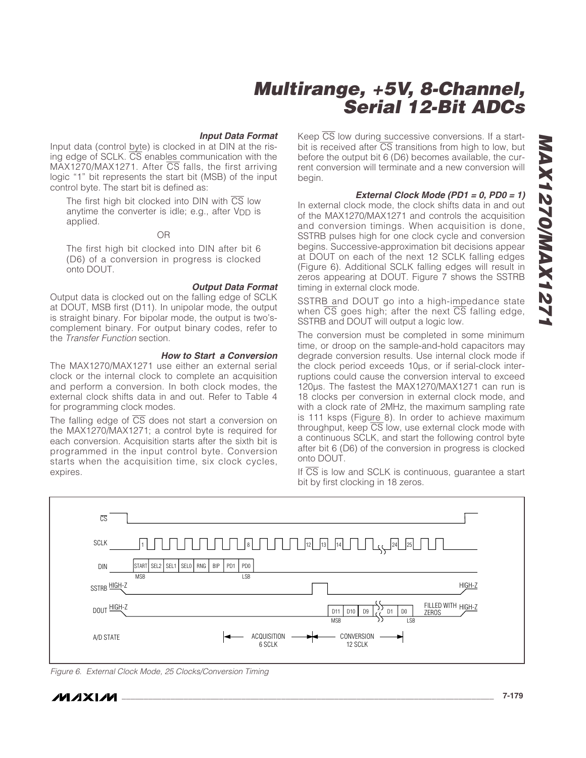#### *Input Data Format*

Input data (control byte) is clocked in at DIN at the rising edge of SCLK.  $\overline{CS}$  enables communication with the  $MAX1270/MAX1271$ . After  $\overline{CS}$  falls, the first arriving logic "1" bit represents the start bit (MSB) of the input control byte. The start bit is defined as:

The first high bit clocked into DIN with CS low anytime the converter is idle; e.g., after  $V_{\text{DD}}$  is applied.

#### OR

The first high bit clocked into DIN after bit 6 (D6) of a conversion in progress is clocked onto DOUT.

#### *Output Data Format*

Output data is clocked out on the falling edge of SCLK at DOUT, MSB first (D11). In unipolar mode, the output is straight binary. For bipolar mode, the output is two'scomplement binary. For output binary codes, refer to the *Transfer Function* section.

#### *How to Start a Conversion*

The MAX1270/MAX1271 use either an external serial clock or the internal clock to complete an acquisition and perform a conversion. In both clock modes, the external clock shifts data in and out. Refer to Table 4 for programming clock modes.

The falling edge of  $\overline{CS}$  does not start a conversion on the MAX1270/MAX1271; a control byte is required for each conversion. Acquisition starts after the sixth bit is programmed in the input control byte. Conversion starts when the acquisition time, six clock cycles, expires.

Keep  $\overline{CS}$  low during successive conversions. If a startbit is received after  $\overline{\text{CS}}$  transitions from high to low, but before the output bit 6 (D6) becomes available, the current conversion will terminate and a new conversion will begin.

#### *External Clock Mode (PD1 = 0, PD0 = 1)*

In external clock mode, the clock shifts data in and out of the MAX1270/MAX1271 and controls the acquisition and conversion timings. When acquisition is done, SSTRB pulses high for one clock cycle and conversion begins. Successive-approximation bit decisions appear at DOUT on each of the next 12 SCLK falling edges (Figure 6). Additional SCLK falling edges will result in zeros appearing at DOUT. Figure 7 shows the SSTRB timing in external clock mode.

SSTRB and DOUT go into a high-impedance state when  $\overline{CS}$  goes high; after the next  $\overline{CS}$  falling edge, SSTRB and DOUT will output a logic low.

The conversion must be completed in some minimum time, or droop on the sample-and-hold capacitors may degrade conversion results. Use internal clock mode if the clock period exceeds 10µs, or if serial-clock interruptions could cause the conversion interval to exceed 120µs. The fastest the MAX1270/MAX1271 can run is 18 clocks per conversion in external clock mode, and with a clock rate of 2MHz, the maximum sampling rate is 111 ksps (Figure 8). In order to achieve maximum throughput, keep  $\overline{CS}$  low, use external clock mode with a continuous SCLK, and start the following control byte after bit 6 (D6) of the conversion in progress is clocked onto DOUT.

If  $\overline{CS}$  is low and SCLK is continuous, guarantee a start bit by first clocking in 18 zeros.



*Figure 6. External Clock Mode, 25 Clocks/Conversion Timing*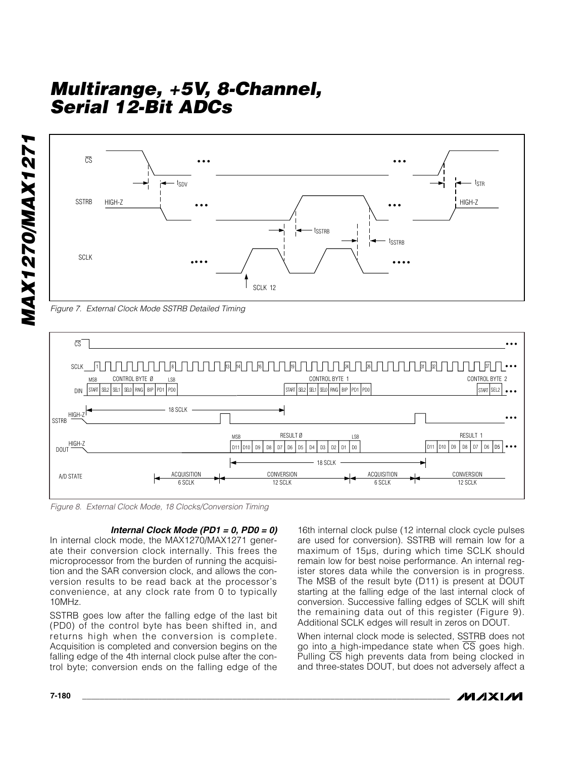

*Figure 7. External Clock Mode SSTRB Detailed Timing*



*Figure 8. External Clock Mode, 18 Clocks/Conversion Timing*

#### *Internal Clock Mode (PD1 = 0, PD0 = 0)*

In internal clock mode, the MAX1270/MAX1271 generate their conversion clock internally. This frees the microprocessor from the burden of running the acquisition and the SAR conversion clock, and allows the conversion results to be read back at the processor's convenience, at any clock rate from 0 to typically 10MHz.

SSTRB goes low after the falling edge of the last bit (PD0) of the control byte has been shifted in, and returns high when the conversion is complete. Acquisition is completed and conversion begins on the falling edge of the 4th internal clock pulse after the control byte; conversion ends on the falling edge of the

16th internal clock pulse (12 internal clock cycle pulses are used for conversion). SSTRB will remain low for a maximum of 15µs, during which time SCLK should remain low for best noise performance. An internal register stores data while the conversion is in progress. The MSB of the result byte (D11) is present at DOUT starting at the falling edge of the last internal clock of conversion. Successive falling edges of SCLK will shift the remaining data out of this register (Figure 9). Additional SCLK edges will result in zeros on DOUT.

When internal clock mode is selected, SSTRB does not go into a high-impedance state when  $\overline{CS}$  goes high. Pulling  $\overline{CS}$  high prevents data from being clocked in and three-states DOUT, but does not adversely affect a

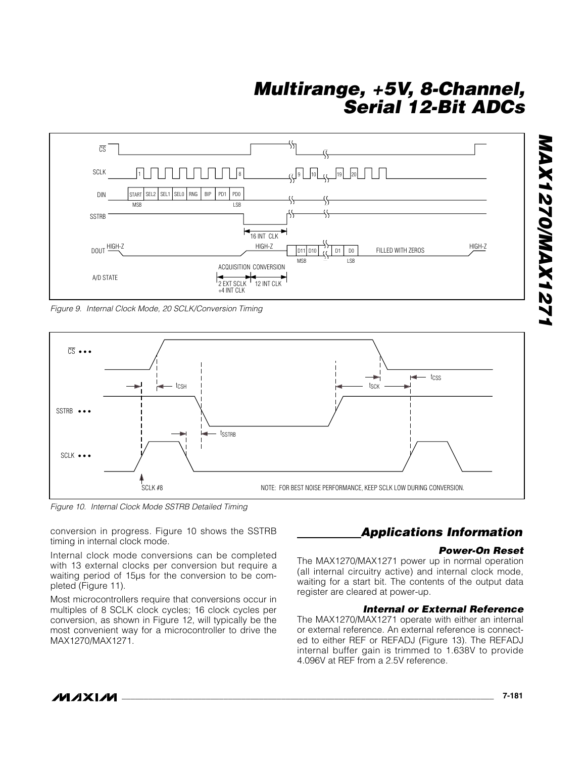

*Figure 9. Internal Clock Mode, 20 SCLK/Conversion Timing*



*Figure 10. Internal Clock Mode SSTRB Detailed Timing*

conversion in progress. Figure 10 shows the SSTRB timing in internal clock mode.

Internal clock mode conversions can be completed with 13 external clocks per conversion but require a waiting period of 15µs for the conversion to be completed (Figure 11).

Most microcontrollers require that conversions occur in multiples of 8 SCLK clock cycles; 16 clock cycles per conversion, as shown in Figure 12, will typically be the most convenient way for a microcontroller to drive the MAX1270/MAX1271.

### *Applications Information*

#### *Power-On Reset*

The MAX1270/MAX1271 power up in normal operation (all internal circuitry active) and internal clock mode, waiting for a start bit. The contents of the output data register are cleared at power-up.

#### *Internal or External Reference*

The MAX1270/MAX1271 operate with either an internal or external reference. An external reference is connected to either REF or REFADJ (Figure 13). The REFADJ internal buffer gain is trimmed to 1.638V to provide 4.096V at REF from a 2.5V reference.

*MAX1270/MAX1271*

**ASTANO/DINAX127**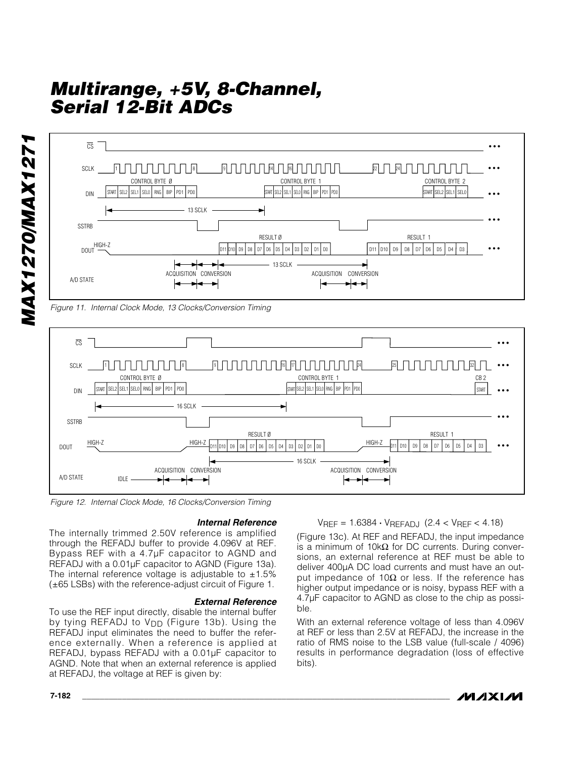

SEL2 SEL1 SEL0 RNG BIP PD1

╺╾╾

16 SCLK



16 SCLK

╺┝┥┽

#### *Internal Reference*

HIGH-Z  $\frac{\text{HIGH-Z}}{\text{D11}}$   $\text{D10}$   $\text{D2}$   $\text{D3}$   $\text{D4}$   $\text{D2}$   $\text{D1}$   $\text{D0}$   $\text{D10}$ 

RESULT Ø

ACQUISITION CONVERSION ACQUISITION CONVERSION

START SEL2 SEL1 SELO RNG BIP PD1 PD0

The internally trimmed 2.50V reference is amplified through the REFADJ buffer to provide 4.096V at REF. Bypass REF with a 4.7µF capacitor to AGND and REFADJ with a 0.01µF capacitor to AGND (Figure 13a). The internal reference voltage is adjustable to  $\pm 1.5\%$ (±65 LSBs) with the reference-adjust circuit of Figure 1.

#### *External Reference*

To use the REF input directly, disable the internal buffer by tying REFADJ to V<sub>DD</sub> (Figure 13b). Using the REFADJ input eliminates the need to buffer the reference externally. When a reference is applied at REFADJ, bypass REFADJ with a 0.01µF capacitor to AGND. Note that when an external reference is applied at REFADJ, the voltage at REF is given by:

VREF = 1.6384 **·** VREFADJ (2.4 < VREF < 4.18)

 $D10$  D9 D8 D7 D6 D5 D4 RESULT 1

(Figure 13c). At REF and REFADJ, the input impedance is a minimum of 10kΩ for DC currents. During conversions, an external reference at REF must be able to deliver 400µA DC load currents and must have an output impedance of 10 $\Omega$  or less. If the reference has higher output impedance or is noisy, bypass REF with a 4.7µF capacitor to AGND as close to the chip as possible.

With an external reference voltage of less than 4.096V at REF or less than 2.5V at REFADJ, the increase in the ratio of RMS noise to the LSB value (full-scale / 4096) results in performance degradation (loss of effective bits).



• • •

• • •

• • •

*MAX1270/MAX1271* **MAX1270/MAX127** 

DIN

SSTRB

A/D STATE IDLE

DOUT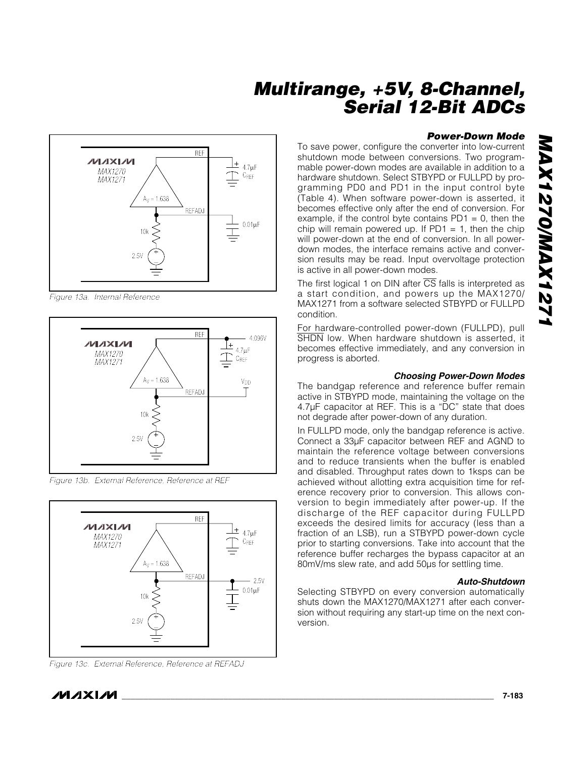### REF **MAXIM**  $\perp$ <sub>4.7µF</sub> *MAX1270* C<sub>REF</sub> *MAX1271*  $Ay = 1.638$ REFADJ 0.01µF 10k  $\Box$ 2.5V

*Figure 13a. Internal Reference*



*Figure 13b. External Reference, Reference at REF*



*Figure 13c. External Reference, Reference at REFADJ*

### *Power-Down Mode*

To save power, configure the converter into low-current shutdown mode between conversions. Two programmable power-down modes are available in addition to a hardware shutdown. Select STBYPD or FULLPD by programming PD0 and PD1 in the input control byte (Table 4). When software power-down is asserted, it becomes effective only after the end of conversion. For example, if the control byte contains  $PD1 = 0$ , then the chip will remain powered up. If  $PDI = 1$ , then the chip will power-down at the end of conversion. In all powerdown modes, the interface remains active and conversion results may be read. Input overvoltage protection is active in all power-down modes.

The first logical 1 on DIN after  $\overline{CS}$  falls is interpreted as a start condition, and powers up the MAX1270/ MAX1271 from a software selected STBYPD or FULLPD condition.

For hardware-controlled power-down (FULLPD), pull SHDN low. When hardware shutdown is asserted, it becomes effective immediately, and any conversion in progress is aborted.

### *Choosing Power-Down Modes*

The bandgap reference and reference buffer remain active in STBYPD mode, maintaining the voltage on the 4.7µF capacitor at REF. This is a "DC" state that does not degrade after power-down of any duration.

In FULLPD mode, only the bandgap reference is active. Connect a 33µF capacitor between REF and AGND to maintain the reference voltage between conversions and to reduce transients when the buffer is enabled and disabled. Throughput rates down to 1ksps can be achieved without allotting extra acquisition time for reference recovery prior to conversion. This allows conversion to begin immediately after power-up. If the discharge of the REF capacitor during FULLPD exceeds the desired limits for accuracy (less than a fraction of an LSB), run a STBYPD power-down cycle prior to starting conversions. Take into account that the reference buffer recharges the bypass capacitor at an 80mV/ms slew rate, and add 50µs for settling time.

### *Auto-Shutdown*

Selecting STBYPD on every conversion automatically shuts down the MAX1270/MAX1271 after each conversion without requiring any start-up time on the next conversion.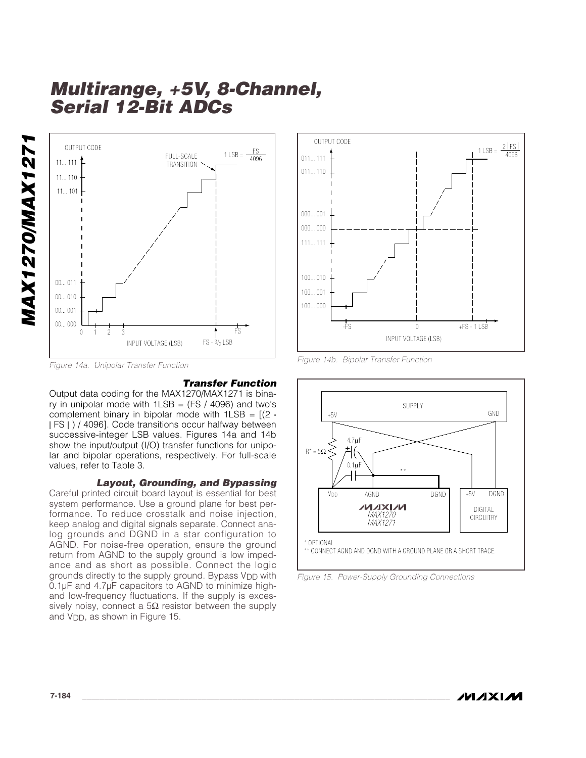

*Figure 14a. Unipolar Transfer Function*

#### *Transfer Function*

Output data coding for the MAX1270/MAX1271 is binary in unipolar mode with  $1LSB = (FS / 4096)$  and two's complement binary in bipolar mode with  $1LSB = [(2 \cdot$ | FS | ) / 4096]. Code transitions occur halfway between successive-integer LSB values. Figures 14a and 14b show the input/output (I/O) transfer functions for unipolar and bipolar operations, respectively. For full-scale values, refer to Table 3.

#### *Layout, Grounding, and Bypassing*

Careful printed circuit board layout is essential for best system performance. Use a ground plane for best performance. To reduce crosstalk and noise injection, keep analog and digital signals separate. Connect analog grounds and DGND in a star configuration to AGND. For noise-free operation, ensure the ground return from AGND to the supply ground is low impedance and as short as possible. Connect the logic grounds directly to the supply ground. Bypass V<sub>DD</sub> with 0.1µF and 4.7µF capacitors to AGND to minimize highand low-frequency fluctuations. If the supply is excessively noisy, connect a  $5\Omega$  resistor between the supply and V<sub>DD</sub>, as shown in Figure 15.



*Figure 14b. Bipolar Transfer Function*



*Figure 15. Power-Supply Grounding Connections*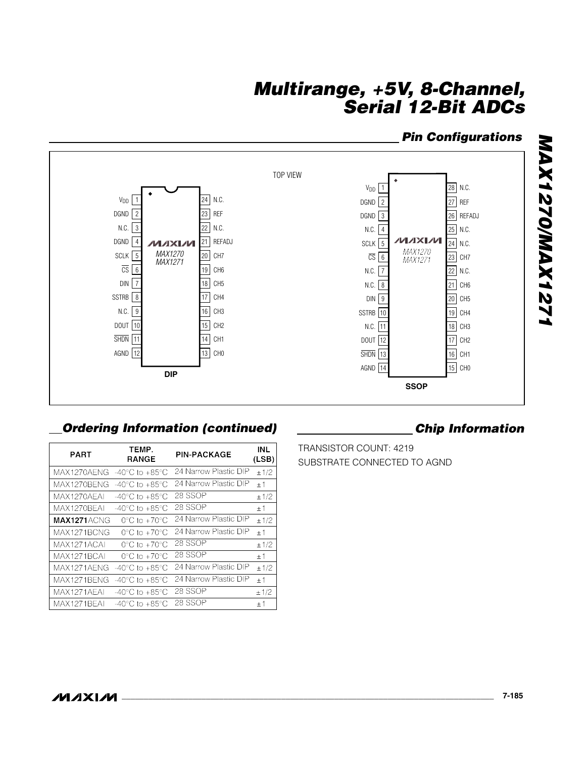### *Pin Configurations*



## *Ordering Information (continued) Chip Information*

| <b>PART</b> | TEMP.<br><b>RANGE</b>              | <b>PIN-PACKAGE</b>    | INL<br>(LSB) |
|-------------|------------------------------------|-----------------------|--------------|
| MAX1270AENG | $-40^{\circ}$ C to $+85^{\circ}$ C | 24 Narrow Plastic DIP | ±1/2         |
| MAX1270BENG | $-40^{\circ}$ C to $+85^{\circ}$ C | 24 Narrow Plastic DIP | ±1           |
| MAX1270AEAI | -40°C to +85°C                     | 28 SSOP               | ±1/2         |
| MAX1270BEAI | -40°C to +85°C                     | 28 SSOP               | ±1           |
| MAX1271ACNG | $0^{\circ}$ C to $+70^{\circ}$ C   | 24 Narrow Plastic DIP | ±1/2         |
| MAX1271BCNG | $0^{\circ}$ C to $+70^{\circ}$ C   | 24 Narrow Plastic DIP | ±1           |
| MAX1271ACAI | $0^{\circ}$ C to $+70^{\circ}$ C   | 28 SSOP               | ±1/2         |
| MAX1271BCAI | $0^{\circ}$ C to $+70^{\circ}$ C   | 28 SSOP               | ±1           |
| MAX1271AENG | $-40^{\circ}$ C to $+85^{\circ}$ C | 24 Narrow Plastic DIP | ±1/2         |
| MAX1271BENG | $-40^{\circ}$ C to $+85^{\circ}$ C | 24 Narrow Plastic DIP | ±1           |
| MAX1271AEAI | -40°C to +85°C                     | 28 SSOP               | ±1/2         |
| MAX1271BEAI | -40°C to +85°C                     | 28 SSOP               | $+1$         |

TRANSISTOR COUNT: 4219 SUBSTRATE CONNECTED TO AGND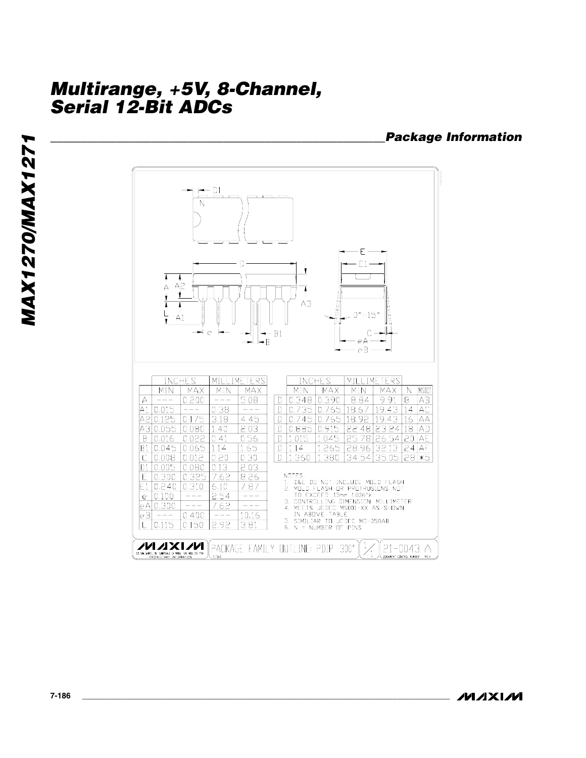### *\_\_\_\_\_\_\_\_\_\_\_\_\_\_\_\_\_\_\_\_\_\_\_\_\_\_\_\_\_\_\_\_\_\_\_\_\_\_\_\_\_\_\_\_\_\_\_\_\_\_\_\_\_\_\_\_Package Information*

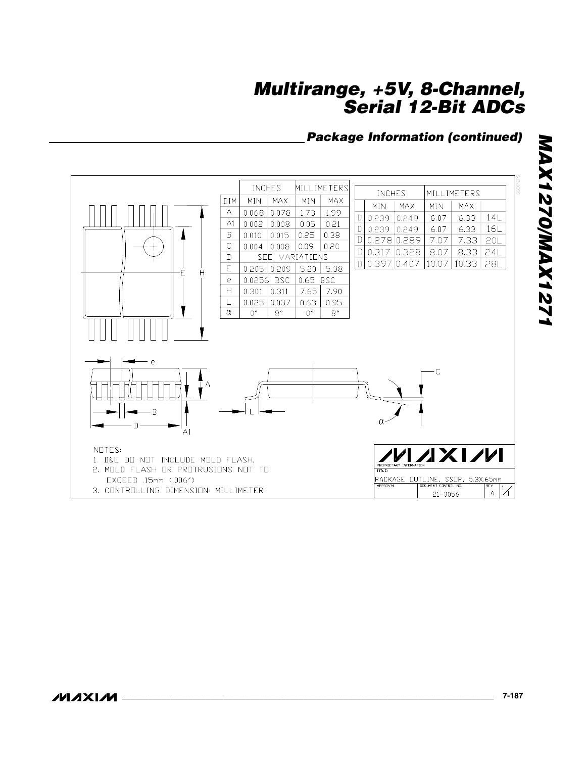## *Package Information (continued)*